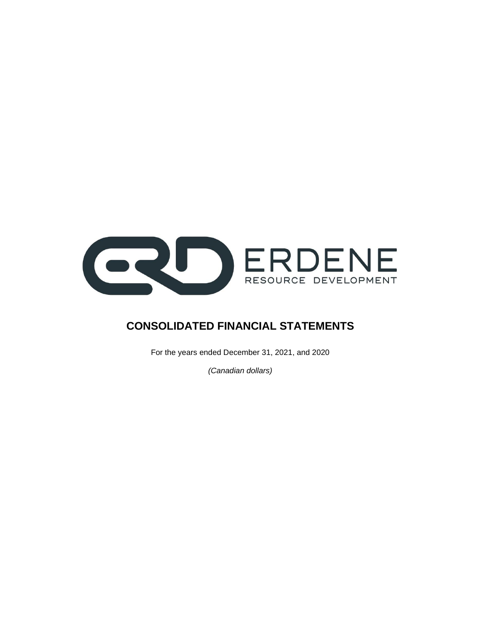

## **CONSOLIDATED FINANCIAL STATEMENTS**

For the years ended December 31, 2021, and 2020

*(Canadian dollars)*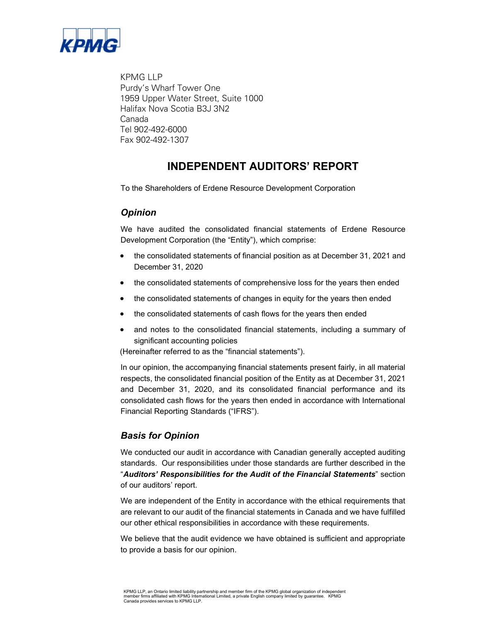

KPMG LLP Purdy's Wharf Tower One 1959 Upper Water Street, Suite 1000 Halifax Nova Scotia B3J 3N2 Canada Tel 902-492-6000 Fax 902-492-1307

## **INDEPENDENT AUDITORS' REPORT**

To the Shareholders of Erdene Resource Development Corporation

## *Opinion*

We have audited the consolidated financial statements of Erdene Resource Development Corporation (the "Entity"), which comprise:

- the consolidated statements of financial position as at December 31, 2021 and December 31, 2020
- the consolidated statements of comprehensive loss for the years then ended
- the consolidated statements of changes in equity for the years then ended
- the consolidated statements of cash flows for the years then ended
- and notes to the consolidated financial statements, including a summary of significant accounting policies

(Hereinafter referred to as the "financial statements").

In our opinion, the accompanying financial statements present fairly, in all material respects, the consolidated financial position of the Entity as at December 31, 2021 and December 31, 2020, and its consolidated financial performance and its consolidated cash flows for the years then ended in accordance with International Financial Reporting Standards ("IFRS").

## *Basis for Opinion*

We conducted our audit in accordance with Canadian generally accepted auditing standards. Our responsibilities under those standards are further described in the "*Auditors' Responsibilities for the Audit of the Financial Statements*" section of our auditors' report.

We are independent of the Entity in accordance with the ethical requirements that are relevant to our audit of the financial statements in Canada and we have fulfilled our other ethical responsibilities in accordance with these requirements.

We believe that the audit evidence we have obtained is sufficient and appropriate to provide a basis for our opinion.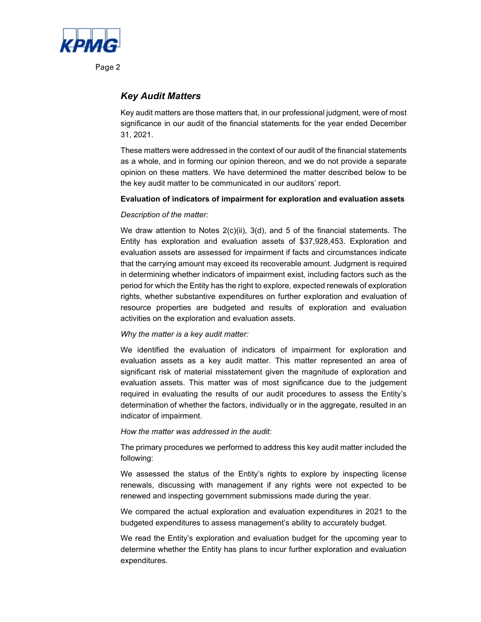

## *Key Audit Matters*

Key audit matters are those matters that, in our professional judgment, were of most significance in our audit of the financial statements for the year ended December 31, 2021.

These matters were addressed in the context of our audit of the financial statements as a whole, and in forming our opinion thereon, and we do not provide a separate opinion on these matters. We have determined the matter described below to be the key audit matter to be communicated in our auditors' report.

### **Evaluation of indicators of impairment for exploration and evaluation assets**

### *Description of the matter:*

We draw attention to Notes 2(c)(ii), 3(d), and 5 of the financial statements. The Entity has exploration and evaluation assets of \$37,928,453. Exploration and evaluation assets are assessed for impairment if facts and circumstances indicate that the carrying amount may exceed its recoverable amount. Judgment is required in determining whether indicators of impairment exist, including factors such as the period for which the Entity has the right to explore, expected renewals of exploration rights, whether substantive expenditures on further exploration and evaluation of resource properties are budgeted and results of exploration and evaluation activities on the exploration and evaluation assets.

### *Why the matter is a key audit matter:*

We identified the evaluation of indicators of impairment for exploration and evaluation assets as a key audit matter. This matter represented an area of significant risk of material misstatement given the magnitude of exploration and evaluation assets. This matter was of most significance due to the judgement required in evaluating the results of our audit procedures to assess the Entity's determination of whether the factors, individually or in the aggregate, resulted in an indicator of impairment.

### *How the matter was addressed in the audit:*

The primary procedures we performed to address this key audit matter included the following:

We assessed the status of the Entity's rights to explore by inspecting license renewals, discussing with management if any rights were not expected to be renewed and inspecting government submissions made during the year.

We compared the actual exploration and evaluation expenditures in 2021 to the budgeted expenditures to assess management's ability to accurately budget.

We read the Entity's exploration and evaluation budget for the upcoming year to determine whether the Entity has plans to incur further exploration and evaluation expenditures.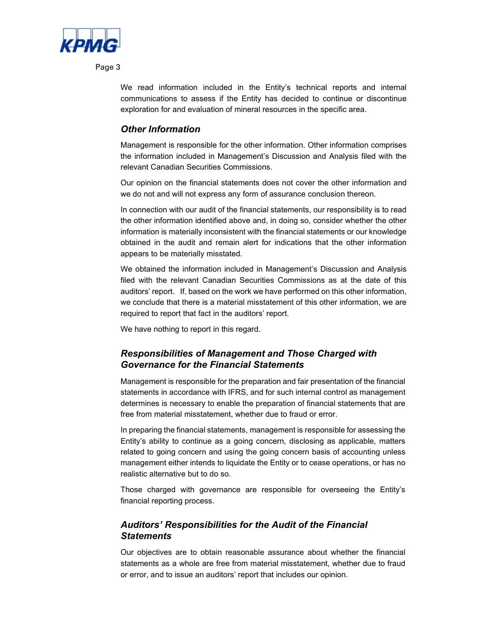

We read information included in the Entity's technical reports and internal communications to assess if the Entity has decided to continue or discontinue exploration for and evaluation of mineral resources in the specific area.

## *Other Information*

Management is responsible for the other information. Other information comprises the information included in Management's Discussion and Analysis filed with the relevant Canadian Securities Commissions.

Our opinion on the financial statements does not cover the other information and we do not and will not express any form of assurance conclusion thereon.

In connection with our audit of the financial statements, our responsibility is to read the other information identified above and, in doing so, consider whether the other information is materially inconsistent with the financial statements or our knowledge obtained in the audit and remain alert for indications that the other information appears to be materially misstated.

We obtained the information included in Management's Discussion and Analysis filed with the relevant Canadian Securities Commissions as at the date of this auditors' report. If, based on the work we have performed on this other information, we conclude that there is a material misstatement of this other information, we are required to report that fact in the auditors' report.

We have nothing to report in this regard.

## *Responsibilities of Management and Those Charged with Governance for the Financial Statements*

Management is responsible for the preparation and fair presentation of the financial statements in accordance with IFRS, and for such internal control as management determines is necessary to enable the preparation of financial statements that are free from material misstatement, whether due to fraud or error.

In preparing the financial statements, management is responsible for assessing the Entity's ability to continue as a going concern, disclosing as applicable, matters related to going concern and using the going concern basis of accounting unless management either intends to liquidate the Entity or to cease operations, or has no realistic alternative but to do so.

Those charged with governance are responsible for overseeing the Entity's financial reporting process.

## *Auditors' Responsibilities for the Audit of the Financial Statements*

Our objectives are to obtain reasonable assurance about whether the financial statements as a whole are free from material misstatement, whether due to fraud or error, and to issue an auditors' report that includes our opinion.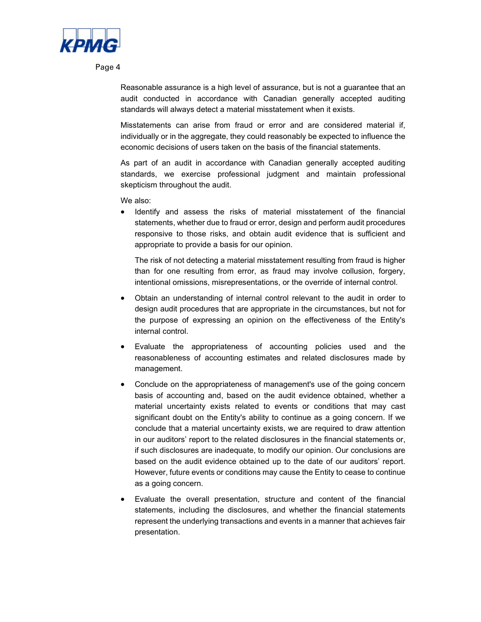

Reasonable assurance is a high level of assurance, but is not a guarantee that an audit conducted in accordance with Canadian generally accepted auditing standards will always detect a material misstatement when it exists.

Misstatements can arise from fraud or error and are considered material if, individually or in the aggregate, they could reasonably be expected to influence the economic decisions of users taken on the basis of the financial statements.

As part of an audit in accordance with Canadian generally accepted auditing standards, we exercise professional judgment and maintain professional skepticism throughout the audit.

We also:

Identify and assess the risks of material misstatement of the financial statements, whether due to fraud or error, design and perform audit procedures responsive to those risks, and obtain audit evidence that is sufficient and appropriate to provide a basis for our opinion.

The risk of not detecting a material misstatement resulting from fraud is higher than for one resulting from error, as fraud may involve collusion, forgery, intentional omissions, misrepresentations, or the override of internal control.

- Obtain an understanding of internal control relevant to the audit in order to design audit procedures that are appropriate in the circumstances, but not for the purpose of expressing an opinion on the effectiveness of the Entity's internal control.
- Evaluate the appropriateness of accounting policies used and the reasonableness of accounting estimates and related disclosures made by management.
- Conclude on the appropriateness of management's use of the going concern basis of accounting and, based on the audit evidence obtained, whether a material uncertainty exists related to events or conditions that may cast significant doubt on the Entity's ability to continue as a going concern. If we conclude that a material uncertainty exists, we are required to draw attention in our auditors' report to the related disclosures in the financial statements or, if such disclosures are inadequate, to modify our opinion. Our conclusions are based on the audit evidence obtained up to the date of our auditors' report. However, future events or conditions may cause the Entity to cease to continue as a going concern.
- Evaluate the overall presentation, structure and content of the financial statements, including the disclosures, and whether the financial statements represent the underlying transactions and events in a manner that achieves fair presentation.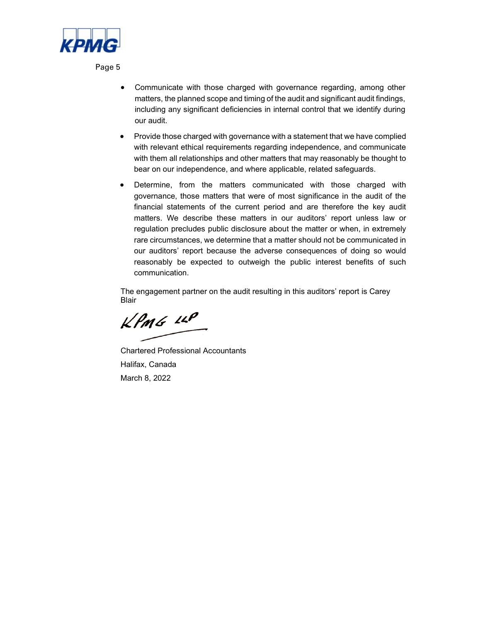

- Communicate with those charged with governance regarding, among other matters, the planned scope and timing of the audit and significant audit findings, including any significant deficiencies in internal control that we identify during our audit.
- Provide those charged with governance with a statement that we have complied with relevant ethical requirements regarding independence, and communicate with them all relationships and other matters that may reasonably be thought to bear on our independence, and where applicable, related safeguards.
- Determine, from the matters communicated with those charged with governance, those matters that were of most significance in the audit of the financial statements of the current period and are therefore the key audit matters. We describe these matters in our auditors' report unless law or regulation precludes public disclosure about the matter or when, in extremely rare circumstances, we determine that a matter should not be communicated in our auditors' report because the adverse consequences of doing so would reasonably be expected to outweigh the public interest benefits of such communication.

The engagement partner on the audit resulting in this auditors' report is Carey Blair

KPMG LLP

Chartered Professional Accountants Halifax, Canada March 8, 2022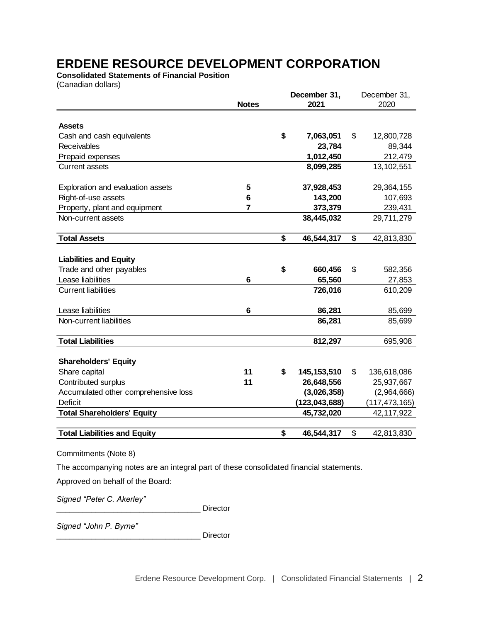**Consolidated Statements of Financial Position**

(Canadian dollars)

|                                      |              | December 31,      | December 31, |                 |  |  |
|--------------------------------------|--------------|-------------------|--------------|-----------------|--|--|
|                                      | <b>Notes</b> | 2021              |              | 2020            |  |  |
|                                      |              |                   |              |                 |  |  |
| <b>Assets</b>                        |              |                   |              |                 |  |  |
| Cash and cash equivalents            |              | \$<br>7,063,051   | \$           | 12,800,728      |  |  |
| Receivables                          |              | 23,784            |              | 89,344          |  |  |
| Prepaid expenses                     |              | 1,012,450         |              | 212,479         |  |  |
| <b>Current assets</b>                |              | 8,099,285         |              | 13,102,551      |  |  |
|                                      |              |                   |              |                 |  |  |
| Exploration and evaluation assets    | 5            | 37,928,453        |              | 29,364,155      |  |  |
| Right-of-use assets                  | 6            | 143,200           |              | 107,693         |  |  |
| Property, plant and equipment        | 7            | 373,379           |              | 239,431         |  |  |
| Non-current assets                   |              | 38,445,032        |              | 29,711,279      |  |  |
|                                      |              |                   |              |                 |  |  |
| <b>Total Assets</b>                  |              | \$<br>46,544,317  | \$           | 42,813,830      |  |  |
|                                      |              |                   |              |                 |  |  |
| <b>Liabilities and Equity</b>        |              |                   |              |                 |  |  |
| Trade and other payables             |              | \$<br>660,456     | \$           | 582,356         |  |  |
| Lease liabilities                    | 6            | 65,560            |              | 27,853          |  |  |
| <b>Current liabilities</b>           |              | 726,016           |              | 610,209         |  |  |
|                                      |              |                   |              |                 |  |  |
| Lease liabilities                    | 6            | 86,281            |              | 85,699          |  |  |
| Non-current liabilities              |              | 86,281            |              | 85,699          |  |  |
|                                      |              |                   |              |                 |  |  |
| <b>Total Liabilities</b>             |              | 812,297           |              | 695,908         |  |  |
|                                      |              |                   |              |                 |  |  |
| <b>Shareholders' Equity</b>          |              |                   |              |                 |  |  |
| Share capital                        | 11           | \$<br>145,153,510 | \$           | 136,618,086     |  |  |
| Contributed surplus                  | 11           | 26,648,556        |              | 25,937,667      |  |  |
| Accumulated other comprehensive loss |              | (3,026,358)       |              | (2,964,666)     |  |  |
| <b>Deficit</b>                       |              | (123, 043, 688)   |              | (117, 473, 165) |  |  |
| <b>Total Shareholders' Equity</b>    |              | 45,732,020        |              | 42,117,922      |  |  |
|                                      |              |                   |              |                 |  |  |
| <b>Total Liabilities and Equity</b>  |              | \$<br>46,544,317  | \$           | 42,813,830      |  |  |

Commitments (Note 8)

The accompanying notes are an integral part of these consolidated financial statements.

Approved on behalf of the Board:

*Signed "Peter C. Akerley"*

Director

*Signed "John P. Byrne"*

\_\_\_\_\_\_\_\_\_\_\_\_\_\_\_\_\_\_\_\_\_\_\_\_\_\_\_\_\_\_\_\_\_ Director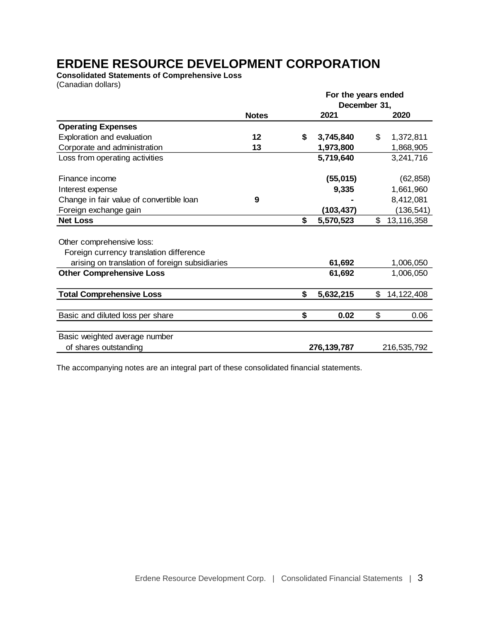**Consolidated Statements of Comprehensive Loss** (Canadian dollars)

|                                                |              |                 | For the years ended |              |  |  |
|------------------------------------------------|--------------|-----------------|---------------------|--------------|--|--|
|                                                |              |                 | December 31,        |              |  |  |
|                                                | <b>Notes</b> | 2021            |                     | 2020         |  |  |
| <b>Operating Expenses</b>                      |              |                 |                     |              |  |  |
| Exploration and evaluation                     | 12           | \$<br>3,745,840 | \$                  | 1,372,811    |  |  |
| Corporate and administration                   | 13           | 1,973,800       |                     | 1,868,905    |  |  |
| Loss from operating activities                 |              | 5,719,640       |                     | 3,241,716    |  |  |
| Finance income                                 |              | (55, 015)       |                     | (62, 858)    |  |  |
| Interest expense                               |              | 9,335           |                     | 1,661,960    |  |  |
| Change in fair value of convertible loan       | 9            |                 |                     | 8,412,081    |  |  |
| Foreign exchange gain                          |              | (103, 437)      |                     | (136, 541)   |  |  |
| <b>Net Loss</b>                                |              | \$<br>5,570,523 | \$                  | 13,116,358   |  |  |
|                                                |              |                 |                     |              |  |  |
| Other comprehensive loss:                      |              |                 |                     |              |  |  |
| Foreign currency translation difference        |              |                 |                     |              |  |  |
| arising on translation of foreign subsidiaries |              | 61,692          |                     | 1,006,050    |  |  |
| <b>Other Comprehensive Loss</b>                |              | 61,692          |                     | 1,006,050    |  |  |
| <b>Total Comprehensive Loss</b>                |              | \$<br>5,632,215 | \$                  | 14, 122, 408 |  |  |
|                                                |              |                 |                     |              |  |  |
| Basic and diluted loss per share               |              | \$<br>0.02      | \$                  | 0.06         |  |  |
| Basic weighted average number                  |              |                 |                     |              |  |  |
| of shares outstanding                          |              | 276, 139, 787   |                     | 216,535,792  |  |  |

The accompanying notes are an integral part of these consolidated financial statements.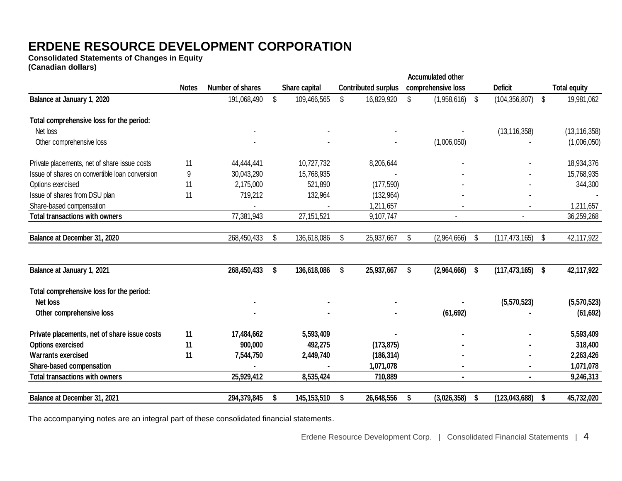**Consolidated Statements of Changes in Equity (Canadian dollars)**

|                                                | <b>Notes</b> | Number of shares | Share capital     |    | <b>Contributed surplus</b> | <b>Accumulated other</b><br>comprehensive loss | <b>Deficit</b>        |      | <b>Total equity</b> |
|------------------------------------------------|--------------|------------------|-------------------|----|----------------------------|------------------------------------------------|-----------------------|------|---------------------|
| Balance at January 1, 2020                     |              | 191,068,490      | \$<br>109,466,565 | \$ | 16,829,920                 | \$<br>$(1,958,616)$ \$                         | (104, 356, 807)       | \$   | 19,981,062          |
| Total comprehensive loss for the period:       |              |                  |                   |    |                            |                                                |                       |      |                     |
| Net loss                                       |              |                  |                   |    |                            |                                                | (13, 116, 358)        |      | (13, 116, 358)      |
| Other comprehensive loss                       |              |                  |                   |    |                            | (1,006,050)                                    |                       |      | (1,006,050)         |
| Private placements, net of share issue costs   | 11           | 44,444,441       | 10,727,732        |    | 8,206,644                  |                                                |                       |      | 18,934,376          |
| Issue of shares on convertible loan conversion | 9            | 30,043,290       | 15,768,935        |    |                            |                                                |                       |      | 15,768,935          |
| Options exercised                              | 11           | 2,175,000        | 521,890           |    | (177, 590)                 |                                                |                       |      | 344,300             |
| Issue of shares from DSU plan                  | 11           | 719,212          | 132,964           |    | (132, 964)                 |                                                |                       |      |                     |
| Share-based compensation                       |              |                  |                   |    | 1,211,657                  |                                                |                       |      | 1,211,657           |
| <b>Total transactions with owners</b>          |              | 77,381,943       | 27, 151, 521      |    | 9,107,747                  |                                                |                       |      | 36,259,268          |
| Balance at December 31, 2020                   |              | 268,450,433      | \$<br>136,618,086 | \$ | 25,937,667                 | \$<br>(2,964,666)                              | \$<br>(117, 473, 165) | -S   | 42,117,922          |
| Balance at January 1, 2021                     |              | 268,450,433      | \$<br>136,618,086 | \$ | 25,937,667                 | \$<br>(2,964,666)                              | \$<br>(117, 473, 165) | -\$  | 42,117,922          |
| Total comprehensive loss for the period:       |              |                  |                   |    |                            |                                                |                       |      |                     |
| <b>Net loss</b>                                |              |                  |                   |    |                            |                                                | (5,570,523)           |      | (5,570,523)         |
| Other comprehensive loss                       |              |                  |                   |    |                            | (61, 692)                                      |                       |      | (61, 692)           |
| Private placements, net of share issue costs   | 11           | 17,484,662       | 5,593,409         |    |                            |                                                |                       |      | 5,593,409           |
| <b>Options exercised</b>                       | 11           | 900,000          | 492,275           |    | (173, 875)                 |                                                |                       |      | 318,400             |
| <b>Warrants exercised</b>                      | 11           | 7,544,750        | 2,449,740         |    | (186, 314)                 |                                                |                       |      | 2,263,426           |
| Share-based compensation                       |              |                  |                   |    | 1,071,078                  | ٠                                              | ۰                     |      | 1,071,078           |
| <b>Total transactions with owners</b>          |              | 25,929,412       | 8,535,424         |    | 710,889                    | $\blacksquare$                                 | ä,                    |      | 9,246,313           |
| Balance at December 31, 2021                   |              | 294,379,845      | \$<br>145,153,510 | S  | 26,648,556                 | \$<br>(3,026,358)                              | \$<br>(123, 043, 688) | - \$ | 45,732,020          |

The accompanying notes are an integral part of these consolidated financial statements.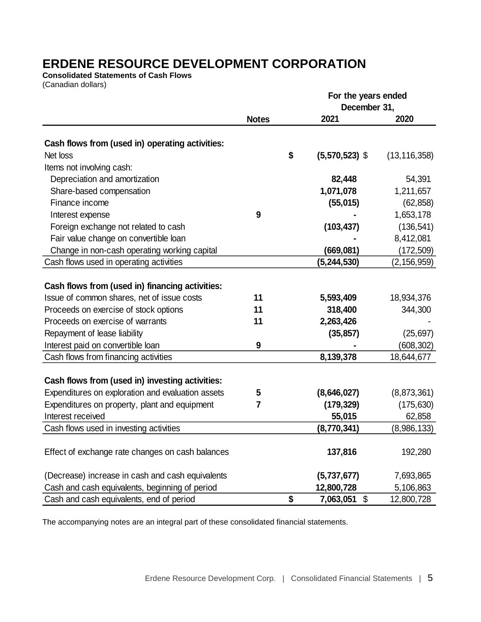**Consolidated Statements of Cash Flows** (Canadian dollars)

|                                                   |              | For the years ended    |                |  |  |  |  |
|---------------------------------------------------|--------------|------------------------|----------------|--|--|--|--|
|                                                   |              | December 31,           |                |  |  |  |  |
|                                                   | <b>Notes</b> | 2021                   | 2020           |  |  |  |  |
| Cash flows from (used in) operating activities:   |              |                        |                |  |  |  |  |
| Net loss                                          |              | \$<br>$(5,570,523)$ \$ | (13, 116, 358) |  |  |  |  |
| Items not involving cash:                         |              |                        |                |  |  |  |  |
| Depreciation and amortization                     |              | 82,448                 | 54,391         |  |  |  |  |
| Share-based compensation                          |              | 1,071,078              | 1,211,657      |  |  |  |  |
| Finance income                                    |              | (55, 015)              | (62, 858)      |  |  |  |  |
| Interest expense                                  | 9            |                        | 1,653,178      |  |  |  |  |
| Foreign exchange not related to cash              |              | (103, 437)             | (136, 541)     |  |  |  |  |
| Fair value change on convertible loan             |              |                        | 8,412,081      |  |  |  |  |
| Change in non-cash operating working capital      |              | (669, 081)             | (172, 509)     |  |  |  |  |
| Cash flows used in operating activities           |              | (5, 244, 530)          | (2, 156, 959)  |  |  |  |  |
|                                                   |              |                        |                |  |  |  |  |
| Cash flows from (used in) financing activities:   |              |                        |                |  |  |  |  |
| Issue of common shares, net of issue costs        | 11           | 5,593,409              | 18,934,376     |  |  |  |  |
| Proceeds on exercise of stock options             | 11           | 318,400                | 344,300        |  |  |  |  |
| Proceeds on exercise of warrants                  | 11           | 2,263,426              |                |  |  |  |  |
| Repayment of lease liability                      |              | (35, 857)              | (25, 697)      |  |  |  |  |
| Interest paid on convertible loan                 | 9            |                        | (608, 302)     |  |  |  |  |
| Cash flows from financing activities              |              | 8,139,378              | 18,644,677     |  |  |  |  |
|                                                   |              |                        |                |  |  |  |  |
| Cash flows from (used in) investing activities:   |              |                        |                |  |  |  |  |
| Expenditures on exploration and evaluation assets | 5            | (8,646,027)            | (8,873,361)    |  |  |  |  |
| Expenditures on property, plant and equipment     | 7            | (179, 329)             | (175, 630)     |  |  |  |  |
| Interest received                                 |              | 55,015                 | 62,858         |  |  |  |  |
| Cash flows used in investing activities           |              | (8,770,341)            | (8,986,133)    |  |  |  |  |
|                                                   |              |                        |                |  |  |  |  |
| Effect of exchange rate changes on cash balances  |              | 137,816                | 192,280        |  |  |  |  |
|                                                   |              |                        |                |  |  |  |  |
| (Decrease) increase in cash and cash equivalents  |              | (5,737,677)            | 7,693,865      |  |  |  |  |
| Cash and cash equivalents, beginning of period    |              | 12,800,728             | 5,106,863      |  |  |  |  |
| Cash and cash equivalents, end of period          |              | \$<br>7,063,051<br>\$  | 12,800,728     |  |  |  |  |

The accompanying notes are an integral part of these consolidated financial statements.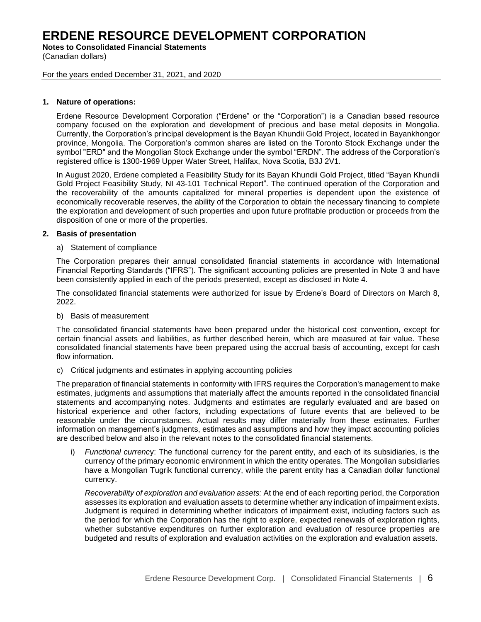**Notes to Consolidated Financial Statements**

(Canadian dollars)

For the years ended December 31, 2021, and 2020

### **1. Nature of operations:**

Erdene Resource Development Corporation ("Erdene" or the "Corporation") is a Canadian based resource company focused on the exploration and development of precious and base metal deposits in Mongolia. Currently, the Corporation's principal development is the Bayan Khundii Gold Project, located in Bayankhongor province, Mongolia. The Corporation's common shares are listed on the Toronto Stock Exchange under the symbol "ERD" and the Mongolian Stock Exchange under the symbol "ERDN". The address of the Corporation's registered office is 1300-1969 Upper Water Street, Halifax, Nova Scotia, B3J 2V1.

In August 2020, Erdene completed a Feasibility Study for its Bayan Khundii Gold Project, titled "Bayan Khundii Gold Project Feasibility Study, NI 43-101 Technical Report". The continued operation of the Corporation and the recoverability of the amounts capitalized for mineral properties is dependent upon the existence of economically recoverable reserves, the ability of the Corporation to obtain the necessary financing to complete the exploration and development of such properties and upon future profitable production or proceeds from the disposition of one or more of the properties.

### **2. Basis of presentation**

### a) Statement of compliance

The Corporation prepares their annual consolidated financial statements in accordance with International Financial Reporting Standards ("IFRS"). The significant accounting policies are presented in Note 3 and have been consistently applied in each of the periods presented, except as disclosed in Note 4.

The consolidated financial statements were authorized for issue by Erdene's Board of Directors on March 8, 2022.

b) Basis of measurement

The consolidated financial statements have been prepared under the historical cost convention, except for certain financial assets and liabilities, as further described herein, which are measured at fair value. These consolidated financial statements have been prepared using the accrual basis of accounting, except for cash flow information.

c) Critical judgments and estimates in applying accounting policies

The preparation of financial statements in conformity with IFRS requires the Corporation's management to make estimates, judgments and assumptions that materially affect the amounts reported in the consolidated financial statements and accompanying notes. Judgments and estimates are regularly evaluated and are based on historical experience and other factors, including expectations of future events that are believed to be reasonable under the circumstances. Actual results may differ materially from these estimates. Further information on management's judgments, estimates and assumptions and how they impact accounting policies are described below and also in the relevant notes to the consolidated financial statements.

i) *Functional currenc*y: The functional currency for the parent entity, and each of its subsidiaries, is the currency of the primary economic environment in which the entity operates. The Mongolian subsidiaries have a Mongolian Tugrik functional currency, while the parent entity has a Canadian dollar functional currency.

*Recoverability of exploration and evaluation assets:* At the end of each reporting period, the Corporation assesses its exploration and evaluation assets to determine whether any indication of impairment exists. Judgment is required in determining whether indicators of impairment exist, including factors such as the period for which the Corporation has the right to explore, expected renewals of exploration rights, whether substantive expenditures on further exploration and evaluation of resource properties are budgeted and results of exploration and evaluation activities on the exploration and evaluation assets.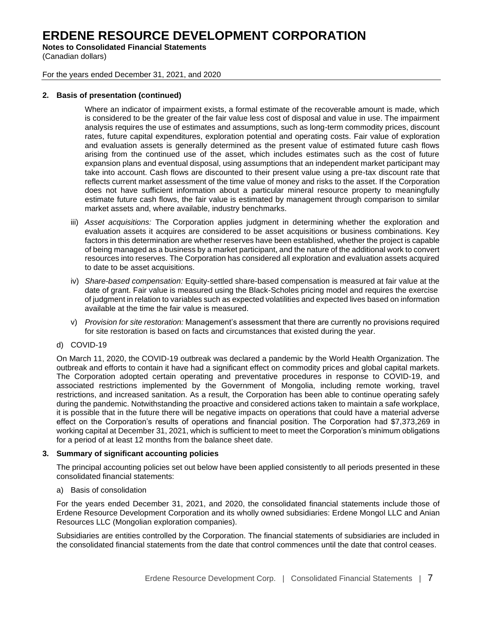**Notes to Consolidated Financial Statements**

(Canadian dollars)

#### For the years ended December 31, 2021, and 2020

### **2. Basis of presentation (continued)**

Where an indicator of impairment exists, a formal estimate of the recoverable amount is made, which is considered to be the greater of the fair value less cost of disposal and value in use. The impairment analysis requires the use of estimates and assumptions, such as long-term commodity prices, discount rates, future capital expenditures, exploration potential and operating costs. Fair value of exploration and evaluation assets is generally determined as the present value of estimated future cash flows arising from the continued use of the asset, which includes estimates such as the cost of future expansion plans and eventual disposal, using assumptions that an independent market participant may take into account. Cash flows are discounted to their present value using a pre-tax discount rate that reflects current market assessment of the time value of money and risks to the asset. If the Corporation does not have sufficient information about a particular mineral resource property to meaningfully estimate future cash flows, the fair value is estimated by management through comparison to similar market assets and, where available, industry benchmarks.

- iii) *Asset acquisitions:* The Corporation applies judgment in determining whether the exploration and evaluation assets it acquires are considered to be asset acquisitions or business combinations. Key factors in this determination are whether reserves have been established, whether the project is capable of being managed as a business by a market participant, and the nature of the additional work to convert resources into reserves. The Corporation has considered all exploration and evaluation assets acquired to date to be asset acquisitions.
- iv) *Share-based compensation:* Equity-settled share-based compensation is measured at fair value at the date of grant. Fair value is measured using the Black-Scholes pricing model and requires the exercise of judgment in relation to variables such as expected volatilities and expected lives based on information available at the time the fair value is measured.
- v) *Provision for site restoration:* Management's assessment that there are currently no provisions required for site restoration is based on facts and circumstances that existed during the year.

### d) COVID-19

On March 11, 2020, the COVID-19 outbreak was declared a pandemic by the World Health Organization. The outbreak and efforts to contain it have had a significant effect on commodity prices and global capital markets. The Corporation adopted certain operating and preventative procedures in response to COVID-19, and associated restrictions implemented by the Government of Mongolia, including remote working, travel restrictions, and increased sanitation. As a result, the Corporation has been able to continue operating safely during the pandemic. Notwithstanding the proactive and considered actions taken to maintain a safe workplace, it is possible that in the future there will be negative impacts on operations that could have a material adverse effect on the Corporation's results of operations and financial position. The Corporation had \$7,373,269 in working capital at December 31, 2021, which is sufficient to meet to meet the Corporation's minimum obligations for a period of at least 12 months from the balance sheet date.

### **3. Summary of significant accounting policies**

The principal accounting policies set out below have been applied consistently to all periods presented in these consolidated financial statements:

a) Basis of consolidation

For the years ended December 31, 2021, and 2020, the consolidated financial statements include those of Erdene Resource Development Corporation and its wholly owned subsidiaries: Erdene Mongol LLC and Anian Resources LLC (Mongolian exploration companies).

Subsidiaries are entities controlled by the Corporation. The financial statements of subsidiaries are included in the consolidated financial statements from the date that control commences until the date that control ceases.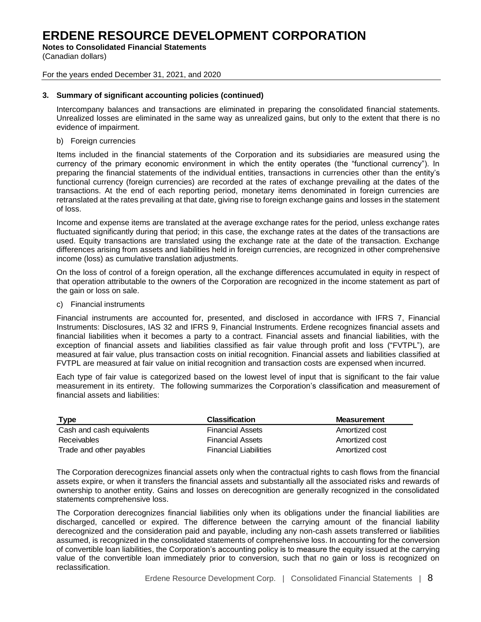**Notes to Consolidated Financial Statements**

(Canadian dollars)

#### For the years ended December 31, 2021, and 2020

### **3. Summary of significant accounting policies (continued)**

Intercompany balances and transactions are eliminated in preparing the consolidated financial statements. Unrealized losses are eliminated in the same way as unrealized gains, but only to the extent that there is no evidence of impairment.

#### b) Foreign currencies

Items included in the financial statements of the Corporation and its subsidiaries are measured using the currency of the primary economic environment in which the entity operates (the "functional currency"). In preparing the financial statements of the individual entities, transactions in currencies other than the entity's functional currency (foreign currencies) are recorded at the rates of exchange prevailing at the dates of the transactions. At the end of each reporting period, monetary items denominated in foreign currencies are retranslated at the rates prevailing at that date, giving rise to foreign exchange gains and losses in the statement of loss.

Income and expense items are translated at the average exchange rates for the period, unless exchange rates fluctuated significantly during that period; in this case, the exchange rates at the dates of the transactions are used. Equity transactions are translated using the exchange rate at the date of the transaction. Exchange differences arising from assets and liabilities held in foreign currencies, are recognized in other comprehensive income (loss) as cumulative translation adjustments.

On the loss of control of a foreign operation, all the exchange differences accumulated in equity in respect of that operation attributable to the owners of the Corporation are recognized in the income statement as part of the gain or loss on sale.

c) Financial instruments

Financial instruments are accounted for, presented, and disclosed in accordance with IFRS 7, Financial Instruments: Disclosures, IAS 32 and IFRS 9, Financial Instruments. Erdene recognizes financial assets and financial liabilities when it becomes a party to a contract. Financial assets and financial liabilities, with the exception of financial assets and liabilities classified as fair value through profit and loss ("FVTPL"), are measured at fair value, plus transaction costs on initial recognition. Financial assets and liabilities classified at FVTPL are measured at fair value on initial recognition and transaction costs are expensed when incurred.

Each type of fair value is categorized based on the lowest level of input that is significant to the fair value measurement in its entirety. The following summarizes the Corporation's classification and measurement of financial assets and liabilities:

| <b>Type</b>               | <b>Classification</b>        | <b>Measurement</b> |
|---------------------------|------------------------------|--------------------|
| Cash and cash equivalents | <b>Financial Assets</b>      | Amortized cost     |
| Receivables               | <b>Financial Assets</b>      | Amortized cost     |
| Trade and other payables  | <b>Financial Liabilities</b> | Amortized cost     |

The Corporation derecognizes financial assets only when the contractual rights to cash flows from the financial assets expire, or when it transfers the financial assets and substantially all the associated risks and rewards of ownership to another entity. Gains and losses on derecognition are generally recognized in the consolidated statements comprehensive loss.

The Corporation derecognizes financial liabilities only when its obligations under the financial liabilities are discharged, cancelled or expired. The difference between the carrying amount of the financial liability derecognized and the consideration paid and payable, including any non-cash assets transferred or liabilities assumed, is recognized in the consolidated statements of comprehensive loss. In accounting for the conversion of convertible loan liabilities, the Corporation's accounting policy is to measure the equity issued at the carrying value of the convertible loan immediately prior to conversion, such that no gain or loss is recognized on reclassification.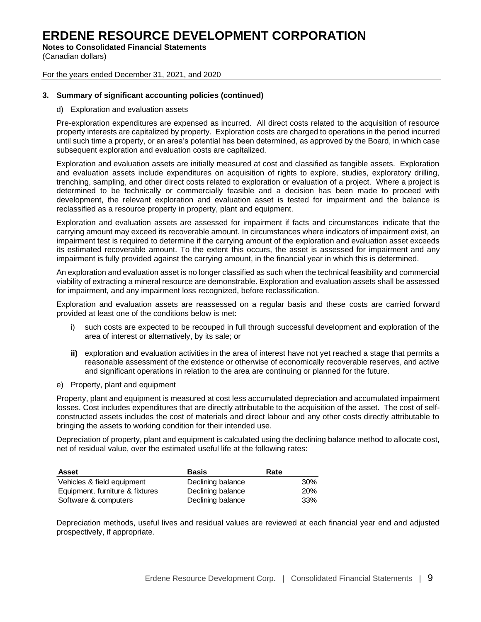**Notes to Consolidated Financial Statements**

(Canadian dollars)

For the years ended December 31, 2021, and 2020

## **3. Summary of significant accounting policies (continued)**

#### d) Exploration and evaluation assets

Pre-exploration expenditures are expensed as incurred. All direct costs related to the acquisition of resource property interests are capitalized by property. Exploration costs are charged to operations in the period incurred until such time a property, or an area's potential has been determined, as approved by the Board, in which case subsequent exploration and evaluation costs are capitalized.

Exploration and evaluation assets are initially measured at cost and classified as tangible assets. Exploration and evaluation assets include expenditures on acquisition of rights to explore, studies, exploratory drilling, trenching, sampling, and other direct costs related to exploration or evaluation of a project. Where a project is determined to be technically or commercially feasible and a decision has been made to proceed with development, the relevant exploration and evaluation asset is tested for impairment and the balance is reclassified as a resource property in property, plant and equipment.

Exploration and evaluation assets are assessed for impairment if facts and circumstances indicate that the carrying amount may exceed its recoverable amount. In circumstances where indicators of impairment exist, an impairment test is required to determine if the carrying amount of the exploration and evaluation asset exceeds its estimated recoverable amount. To the extent this occurs, the asset is assessed for impairment and any impairment is fully provided against the carrying amount, in the financial year in which this is determined.

An exploration and evaluation asset is no longer classified as such when the technical feasibility and commercial viability of extracting a mineral resource are demonstrable. Exploration and evaluation assets shall be assessed for impairment, and any impairment loss recognized, before reclassification.

Exploration and evaluation assets are reassessed on a regular basis and these costs are carried forward provided at least one of the conditions below is met:

- i) such costs are expected to be recouped in full through successful development and exploration of the area of interest or alternatively, by its sale; or
- **ii)** exploration and evaluation activities in the area of interest have not yet reached a stage that permits a reasonable assessment of the existence or otherwise of economically recoverable reserves, and active and significant operations in relation to the area are continuing or planned for the future.
- e) Property, plant and equipment

Property, plant and equipment is measured at cost less accumulated depreciation and accumulated impairment losses. Cost includes expenditures that are directly attributable to the acquisition of the asset. The cost of selfconstructed assets includes the cost of materials and direct labour and any other costs directly attributable to bringing the assets to working condition for their intended use.

Depreciation of property, plant and equipment is calculated using the declining balance method to allocate cost, net of residual value, over the estimated useful life at the following rates:

| Asset                           | <b>Basis</b>      | Rate       |
|---------------------------------|-------------------|------------|
| Vehicles & field equipment      | Declining balance | 30%        |
| Equipment, furniture & fixtures | Declining balance | <b>20%</b> |
| Software & computers            | Declining balance | 33%        |

Depreciation methods, useful lives and residual values are reviewed at each financial year end and adjusted prospectively, if appropriate.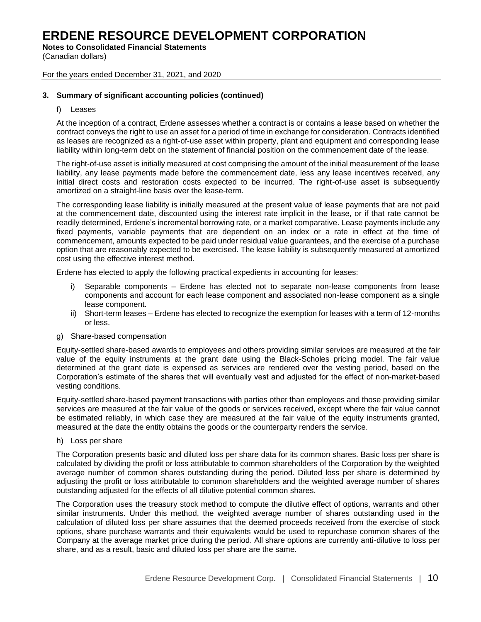**Notes to Consolidated Financial Statements**

(Canadian dollars)

For the years ended December 31, 2021, and 2020

## **3. Summary of significant accounting policies (continued)**

#### f) Leases

At the inception of a contract, Erdene assesses whether a contract is or contains a lease based on whether the contract conveys the right to use an asset for a period of time in exchange for consideration. Contracts identified as leases are recognized as a right-of-use asset within property, plant and equipment and corresponding lease liability within long-term debt on the statement of financial position on the commencement date of the lease.

The right-of-use asset is initially measured at cost comprising the amount of the initial measurement of the lease liability, any lease payments made before the commencement date, less any lease incentives received, any initial direct costs and restoration costs expected to be incurred. The right-of-use asset is subsequently amortized on a straight-line basis over the lease-term.

The corresponding lease liability is initially measured at the present value of lease payments that are not paid at the commencement date, discounted using the interest rate implicit in the lease, or if that rate cannot be readily determined, Erdene's incremental borrowing rate, or a market comparative. Lease payments include any fixed payments, variable payments that are dependent on an index or a rate in effect at the time of commencement, amounts expected to be paid under residual value guarantees, and the exercise of a purchase option that are reasonably expected to be exercised. The lease liability is subsequently measured at amortized cost using the effective interest method.

Erdene has elected to apply the following practical expedients in accounting for leases:

- i) Separable components Erdene has elected not to separate non-lease components from lease components and account for each lease component and associated non-lease component as a single lease component.
- ii) Short-term leases Erdene has elected to recognize the exemption for leases with a term of 12-months or less.

#### g) Share-based compensation

Equity-settled share-based awards to employees and others providing similar services are measured at the fair value of the equity instruments at the grant date using the Black-Scholes pricing model. The fair value determined at the grant date is expensed as services are rendered over the vesting period, based on the Corporation's estimate of the shares that will eventually vest and adjusted for the effect of non-market-based vesting conditions.

Equity-settled share-based payment transactions with parties other than employees and those providing similar services are measured at the fair value of the goods or services received, except where the fair value cannot be estimated reliably, in which case they are measured at the fair value of the equity instruments granted, measured at the date the entity obtains the goods or the counterparty renders the service.

## h) Loss per share

The Corporation presents basic and diluted loss per share data for its common shares. Basic loss per share is calculated by dividing the profit or loss attributable to common shareholders of the Corporation by the weighted average number of common shares outstanding during the period. Diluted loss per share is determined by adjusting the profit or loss attributable to common shareholders and the weighted average number of shares outstanding adjusted for the effects of all dilutive potential common shares.

The Corporation uses the treasury stock method to compute the dilutive effect of options, warrants and other similar instruments. Under this method, the weighted average number of shares outstanding used in the calculation of diluted loss per share assumes that the deemed proceeds received from the exercise of stock options, share purchase warrants and their equivalents would be used to repurchase common shares of the Company at the average market price during the period. All share options are currently anti-dilutive to loss per share, and as a result, basic and diluted loss per share are the same.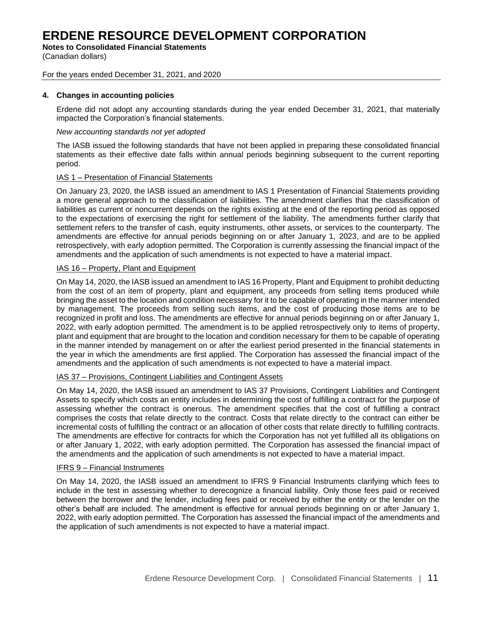**Notes to Consolidated Financial Statements**

(Canadian dollars)

For the years ended December 31, 2021, and 2020

### **4. Changes in accounting policies**

Erdene did not adopt any accounting standards during the year ended December 31, 2021, that materially impacted the Corporation's financial statements.

### *New accounting standards not yet adopted*

The IASB issued the following standards that have not been applied in preparing these consolidated financial statements as their effective date falls within annual periods beginning subsequent to the current reporting period.

## IAS 1 – Presentation of Financial Statements

On January 23, 2020, the IASB issued an amendment to IAS 1 Presentation of Financial Statements providing a more general approach to the classification of liabilities. The amendment clarifies that the classification of liabilities as current or noncurrent depends on the rights existing at the end of the reporting period as opposed to the expectations of exercising the right for settlement of the liability. The amendments further clarify that settlement refers to the transfer of cash, equity instruments, other assets, or services to the counterparty. The amendments are effective for annual periods beginning on or after January 1, 2023, and are to be applied retrospectively, with early adoption permitted. The Corporation is currently assessing the financial impact of the amendments and the application of such amendments is not expected to have a material impact.

## IAS 16 – Property, Plant and Equipment

On May 14, 2020, the IASB issued an amendment to IAS 16 Property, Plant and Equipment to prohibit deducting from the cost of an item of property, plant and equipment, any proceeds from selling items produced while bringing the asset to the location and condition necessary for it to be capable of operating in the manner intended by management. The proceeds from selling such items, and the cost of producing those items are to be recognized in profit and loss. The amendments are effective for annual periods beginning on or after January 1, 2022, with early adoption permitted. The amendment is to be applied retrospectively only to items of property, plant and equipment that are brought to the location and condition necessary for them to be capable of operating in the manner intended by management on or after the earliest period presented in the financial statements in the year in which the amendments are first applied. The Corporation has assessed the financial impact of the amendments and the application of such amendments is not expected to have a material impact.

### IAS 37 – Provisions, Contingent Liabilities and Contingent Assets

On May 14, 2020, the IASB issued an amendment to IAS 37 Provisions, Contingent Liabilities and Contingent Assets to specify which costs an entity includes in determining the cost of fulfilling a contract for the purpose of assessing whether the contract is onerous. The amendment specifies that the cost of fulfilling a contract comprises the costs that relate directly to the contract. Costs that relate directly to the contract can either be incremental costs of fulfilling the contract or an allocation of other costs that relate directly to fulfilling contracts. The amendments are effective for contracts for which the Corporation has not yet fulfilled all its obligations on or after January 1, 2022, with early adoption permitted. The Corporation has assessed the financial impact of the amendments and the application of such amendments is not expected to have a material impact.

### IFRS 9 – Financial Instruments

On May 14, 2020, the IASB issued an amendment to IFRS 9 Financial Instruments clarifying which fees to include in the test in assessing whether to derecognize a financial liability. Only those fees paid or received between the borrower and the lender, including fees paid or received by either the entity or the lender on the other's behalf are included. The amendment is effective for annual periods beginning on or after January 1, 2022, with early adoption permitted. The Corporation has assessed the financial impact of the amendments and the application of such amendments is not expected to have a material impact.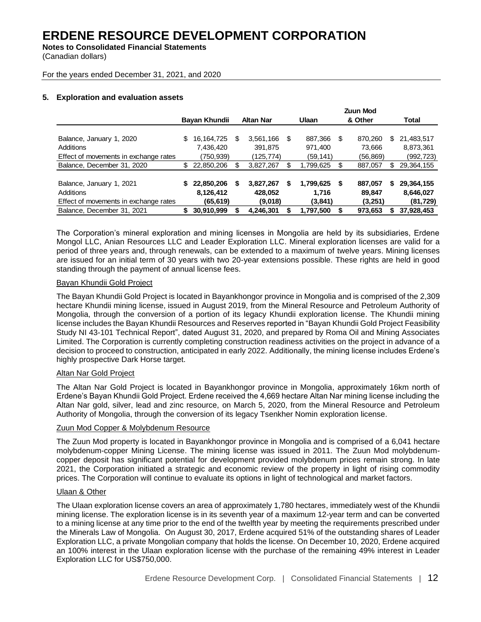**Notes to Consolidated Financial Statements**

(Canadian dollars)

For the years ended December 31, 2021, and 2020

## **5. Exploration and evaluation assets**

|                                       |    |               |     |                  |     |           |   | <b>Zuun Mod</b> |     |            |
|---------------------------------------|----|---------------|-----|------------------|-----|-----------|---|-----------------|-----|------------|
|                                       |    | Bayan Khundii |     | <b>Altan Nar</b> |     | Ulaan     |   | & Other         |     | Total      |
|                                       |    |               |     |                  |     |           |   |                 |     |            |
| Balance, January 1, 2020              | S  | 16, 164, 725  | \$. | 3,561,166        | \$. | 887,366   | S | 870.260         | \$. | 21,483,517 |
| Additions                             |    | 7,436,420     |     | 391,875          |     | 971,400   |   | 73,666          |     | 8,873,361  |
| Effect of movements in exchange rates |    | (750,939)     |     | (125,774)        |     | (59,141)  |   | (56, 869)       |     | (992,723)  |
| Balance, December 31, 2020            | \$ | 22,850,206    | S   | 3,827,267        | S   | 1,799,625 | S | 887,057         | S   | 29,364,155 |
|                                       |    |               |     |                  |     |           |   |                 |     |            |
| Balance, January 1, 2021              | S  | 22,850,206    | S   | 3,827,267        | S   | 1,799,625 | S | 887,057         | S   | 29,364,155 |
| Additions                             |    | 8,126,412     |     | 428,052          |     | 1,716     |   | 89,847          |     | 8,646,027  |
| Effect of movements in exchange rates |    | (65,619)      |     | (9,018)          |     | (3,841)   |   | (3,251)         |     | (81,729)   |
| Balance, December 31, 2021            | \$ | 30,910,999    |     | 4,246,301        |     | 1,797,500 |   | 973,653         |     | 37,928,453 |

The Corporation's mineral exploration and mining licenses in Mongolia are held by its subsidiaries, Erdene Mongol LLC, Anian Resources LLC and Leader Exploration LLC. Mineral exploration licenses are valid for a period of three years and, through renewals, can be extended to a maximum of twelve years. Mining licenses are issued for an initial term of 30 years with two 20-year extensions possible. These rights are held in good standing through the payment of annual license fees.

## Bayan Khundii Gold Project

The Bayan Khundii Gold Project is located in Bayankhongor province in Mongolia and is comprised of the 2,309 hectare Khundii mining license, issued in August 2019, from the Mineral Resource and Petroleum Authority of Mongolia, through the conversion of a portion of its legacy Khundii exploration license. The Khundii mining license includes the Bayan Khundii Resources and Reserves reported in "Bayan Khundii Gold Project Feasibility Study NI 43-101 Technical Report", dated August 31, 2020, and prepared by Roma Oil and Mining Associates Limited. The Corporation is currently completing construction readiness activities on the project in advance of a decision to proceed to construction, anticipated in early 2022. Additionally, the mining license includes Erdene's highly prospective Dark Horse target.

## Altan Nar Gold Project

The Altan Nar Gold Project is located in Bayankhongor province in Mongolia, approximately 16km north of Erdene's Bayan Khundii Gold Project. Erdene received the 4,669 hectare Altan Nar mining license including the Altan Nar gold, silver, lead and zinc resource, on March 5, 2020, from the Mineral Resource and Petroleum Authority of Mongolia, through the conversion of its legacy Tsenkher Nomin exploration license.

### Zuun Mod Copper & Molybdenum Resource

The Zuun Mod property is located in Bayankhongor province in Mongolia and is comprised of a 6,041 hectare molybdenum-copper Mining License. The mining license was issued in 2011. The Zuun Mod molybdenumcopper deposit has significant potential for development provided molybdenum prices remain strong. In late 2021, the Corporation initiated a strategic and economic review of the property in light of rising commodity prices. The Corporation will continue to evaluate its options in light of technological and market factors.

#### Ulaan & Other

The Ulaan exploration license covers an area of approximately 1,780 hectares, immediately west of the Khundii mining license. The exploration license is in its seventh year of a maximum 12-year term and can be converted to a mining license at any time prior to the end of the twelfth year by meeting the requirements prescribed under the Minerals Law of Mongolia. On August 30, 2017, Erdene acquired 51% of the outstanding shares of Leader Exploration LLC, a private Mongolian company that holds the license. On December 10, 2020, Erdene acquired an 100% interest in the Ulaan exploration license with the purchase of the remaining 49% interest in Leader Exploration LLC for US\$750,000.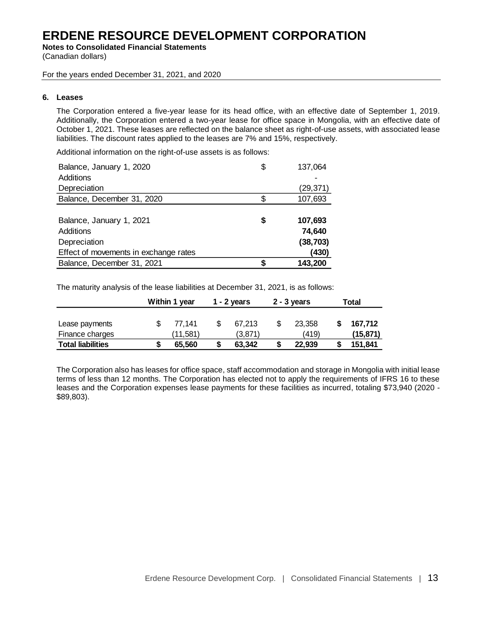**Notes to Consolidated Financial Statements**

(Canadian dollars)

For the years ended December 31, 2021, and 2020

#### **6. Leases**

The Corporation entered a five-year lease for its head office, with an effective date of September 1, 2019. Additionally, the Corporation entered a two-year lease for office space in Mongolia, with an effective date of October 1, 2021. These leases are reflected on the balance sheet as right-of-use assets, with associated lease liabilities. The discount rates applied to the leases are 7% and 15%, respectively.

Additional information on the right-of-use assets is as follows:

| Balance, January 1, 2020              | \$<br>137,064 |
|---------------------------------------|---------------|
| Additions                             |               |
| Depreciation                          | (29,371)      |
| Balance, December 31, 2020            | 107,693       |
|                                       |               |
| Balance, January 1, 2021              | \$<br>107,693 |
| Additions                             | 74,640        |
| Depreciation                          | (38, 703)     |
| Effect of movements in exchange rates | (430)         |
| Balance, December 31, 2021            | 143,200       |

The maturity analysis of the lease liabilities at December 31, 2021, is as follows:

|                          | Within 1 year | 1 - 2 years | 2 - 3 years |        | Total    |
|--------------------------|---------------|-------------|-------------|--------|----------|
| Lease payments           | 77.141        | 67.213      |             | 23.358 | 167.712  |
| Finance charges          | (11,581)      | (3,871)     |             | (419)  | (15,871) |
| <b>Total liabilities</b> | 65.560        | 63,342      |             | 22.939 | 151,841  |

The Corporation also has leases for office space, staff accommodation and storage in Mongolia with initial lease terms of less than 12 months. The Corporation has elected not to apply the requirements of IFRS 16 to these leases and the Corporation expenses lease payments for these facilities as incurred, totaling \$73,940 (2020 - \$89,803).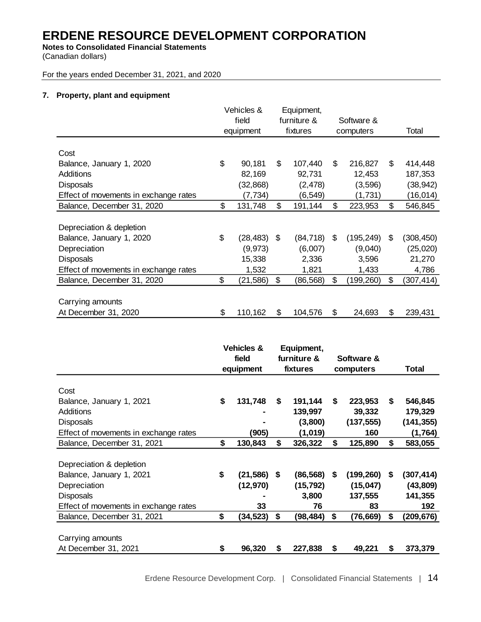**Notes to Consolidated Financial Statements**

(Canadian dollars)

For the years ended December 31, 2021, and 2020

## **7. Property, plant and equipment**

|                                       | Vehicles &      | Equipment,      |    |            |    |            |
|---------------------------------------|-----------------|-----------------|----|------------|----|------------|
|                                       | field           | furniture &     |    | Software & |    |            |
|                                       | equipment       | fixtures        |    | computers  |    | Total      |
|                                       |                 |                 |    |            |    |            |
| Cost                                  |                 |                 |    |            |    |            |
| Balance, January 1, 2020              | \$<br>90,181    | \$<br>107,440   | \$ | 216,827    | \$ | 414,448    |
| Additions                             | 82,169          | 92,731          |    | 12,453     |    | 187,353    |
| <b>Disposals</b>                      | (32, 868)       | (2, 478)        |    | (3,596)    |    | (38, 942)  |
| Effect of movements in exchange rates | (7, 734)        | (6, 549)        |    | (1,731)    |    | (16, 014)  |
| Balance, December 31, 2020            | \$<br>131,748   | \$<br>191,144   | \$ | 223,953    | \$ | 546,845    |
|                                       |                 |                 |    |            |    |            |
| Depreciation & depletion              |                 |                 |    |            |    |            |
| Balance, January 1, 2020              | \$<br>(28,483)  | \$<br>(84, 718) | \$ | (195, 249) | \$ | (308, 450) |
| Depreciation                          | (9, 973)        | (6,007)         |    | (9,040)    |    | (25,020)   |
| Disposals                             | 15,338          | 2,336           |    | 3,596      |    | 21,270     |
| Effect of movements in exchange rates | 1,532           | 1,821           |    | 1,433      |    | 4,786      |
| Balance, December 31, 2020            | \$<br>(21, 586) | \$<br>(86,568)  | \$ | (199, 260) | \$ | (307,414)  |
|                                       |                 |                 |    |            |    |            |
| Carrying amounts                      |                 |                 |    |            |    |            |
| At December 31, 2020                  | \$<br>110,162   | \$<br>104,576   | \$ | 24,693     | \$ | 239,431    |

|                                       | <b>Vehicles &amp;</b><br>field<br>equipment |           |    | Equipment,<br>furniture &<br>fixtures |    | Software &<br>computers |    | Total      |
|---------------------------------------|---------------------------------------------|-----------|----|---------------------------------------|----|-------------------------|----|------------|
|                                       |                                             |           |    |                                       |    |                         |    |            |
| Cost                                  |                                             |           |    |                                       |    |                         |    |            |
| Balance, January 1, 2021              | \$                                          | 131,748   | S  | 191,144                               | \$ | 223,953                 | S  | 546,845    |
| Additions                             |                                             |           |    | 139,997                               |    | 39,332                  |    | 179,329    |
| <b>Disposals</b>                      |                                             |           |    | (3,800)                               |    | (137, 555)              |    | (141, 355) |
| Effect of movements in exchange rates |                                             | (905)     |    | (1,019)                               |    | 160                     |    | (1,764)    |
| Balance, December 31, 2021            | \$                                          | 130,843   | \$ | 326,322                               | \$ | 125,890                 | \$ | 583,055    |
|                                       |                                             |           |    |                                       |    |                         |    |            |
| Depreciation & depletion              |                                             |           |    |                                       |    |                         |    |            |
| Balance, January 1, 2021              | \$                                          | (21,586)  | \$ | (86, 568)                             | \$ | (199, 260)              | \$ | (307,414)  |
| Depreciation                          |                                             | (12, 970) |    | (15, 792)                             |    | (15, 047)               |    | (43, 809)  |
| <b>Disposals</b>                      |                                             |           |    | 3,800                                 |    | 137,555                 |    | 141,355    |
| Effect of movements in exchange rates |                                             | 33        |    | 76                                    |    | 83                      |    | 192        |
| Balance, December 31, 2021            | \$                                          | (34, 523) | \$ | (98, 484)                             | \$ | (76, 669)               | \$ | (209, 676) |
|                                       |                                             |           |    |                                       |    |                         |    |            |
| Carrying amounts                      |                                             |           |    |                                       |    |                         |    |            |
| At December 31, 2021                  | \$                                          | 96,320    | \$ | 227,838                               | \$ | 49,221                  | \$ | 373,379    |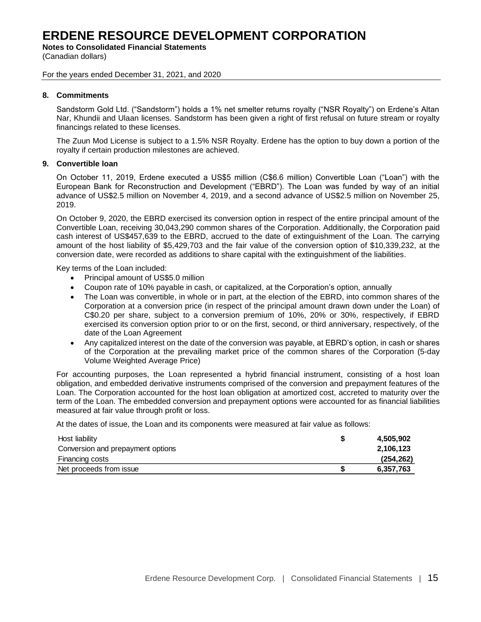**Notes to Consolidated Financial Statements**

(Canadian dollars)

For the years ended December 31, 2021, and 2020

## **8. Commitments**

Sandstorm Gold Ltd. ("Sandstorm") holds a 1% net smelter returns royalty ("NSR Royalty") on Erdene's Altan Nar, Khundii and Ulaan licenses. Sandstorm has been given a right of first refusal on future stream or royalty financings related to these licenses.

The Zuun Mod License is subject to a 1.5% NSR Royalty. Erdene has the option to buy down a portion of the royalty if certain production milestones are achieved.

## **9. Convertible loan**

On October 11, 2019, Erdene executed a US\$5 million (C\$6.6 million) Convertible Loan ("Loan") with the European Bank for Reconstruction and Development ("EBRD"). The Loan was funded by way of an initial advance of US\$2.5 million on November 4, 2019, and a second advance of US\$2.5 million on November 25, 2019.

On October 9, 2020, the EBRD exercised its conversion option in respect of the entire principal amount of the Convertible Loan, receiving 30,043,290 common shares of the Corporation. Additionally, the Corporation paid cash interest of US\$457,639 to the EBRD, accrued to the date of extinguishment of the Loan. The carrying amount of the host liability of \$5,429,703 and the fair value of the conversion option of \$10,339,232, at the conversion date, were recorded as additions to share capital with the extinguishment of the liabilities.

Key terms of the Loan included:

- Principal amount of US\$5.0 million
- Coupon rate of 10% payable in cash, or capitalized, at the Corporation's option, annually
- The Loan was convertible, in whole or in part, at the election of the EBRD, into common shares of the Corporation at a conversion price (in respect of the principal amount drawn down under the Loan) of C\$0.20 per share, subject to a conversion premium of 10%, 20% or 30%, respectively, if EBRD exercised its conversion option prior to or on the first, second, or third anniversary, respectively, of the date of the Loan Agreement
- Any capitalized interest on the date of the conversion was payable, at EBRD's option, in cash or shares of the Corporation at the prevailing market price of the common shares of the Corporation (5-day Volume Weighted Average Price)

For accounting purposes, the Loan represented a hybrid financial instrument, consisting of a host loan obligation, and embedded derivative instruments comprised of the conversion and prepayment features of the Loan. The Corporation accounted for the host loan obligation at amortized cost, accreted to maturity over the term of the Loan. The embedded conversion and prepayment options were accounted for as financial liabilities measured at fair value through profit or loss.

At the dates of issue, the Loan and its components were measured at fair value as follows:

| Host liability                    | 4,505,902 |
|-----------------------------------|-----------|
| Conversion and prepayment options | 2,106,123 |
| Financing costs                   | (254,262) |
| Net proceeds from issue           | 6,357,763 |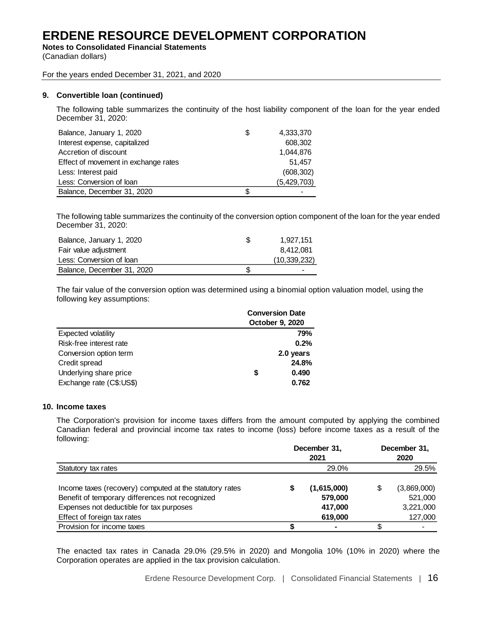**Notes to Consolidated Financial Statements**

(Canadian dollars)

For the years ended December 31, 2021, and 2020

## **9. Convertible loan (continued)**

The following table summarizes the continuity of the host liability component of the loan for the year ended December 31, 2020:

| Balance, January 1, 2020             | S | 4,333,370   |
|--------------------------------------|---|-------------|
| Interest expense, capitalized        |   | 608,302     |
| Accretion of discount                |   | 1,044,876   |
| Effect of movement in exchange rates |   | 51,457      |
| Less: Interest paid                  |   | (608, 302)  |
| Less: Conversion of loan             |   | (5,429,703) |
| Balance, December 31, 2020           |   |             |

The following table summarizes the continuity of the conversion option component of the loan for the year ended December 31, 2020:

| Balance, January 1, 2020   | £. | 1.927.151      |
|----------------------------|----|----------------|
| Fair value adjustment      |    | 8.412.081      |
| Less: Conversion of Ioan   |    | (10, 339, 232) |
| Balance, December 31, 2020 |    | -              |

The fair value of the conversion option was determined using a binomial option valuation model, using the following key assumptions:

|                          | <b>Conversion Date</b> |
|--------------------------|------------------------|
|                          | October 9, 2020        |
| Expected volatility      | 79%                    |
| Risk-free interest rate  | 0.2%                   |
| Conversion option term   | 2.0 years              |
| Credit spread            | 24.8%                  |
| Underlying share price   | 0.490<br>\$            |
| Exchange rate (C\$:US\$) | 0.762                  |

### **10. Income taxes**

The Corporation's provision for income taxes differs from the amount computed by applying the combined Canadian federal and provincial income tax rates to income (loss) before income taxes as a result of the following:

|                                                         | December 31,<br>2021 | December 31,<br>2020 |             |  |
|---------------------------------------------------------|----------------------|----------------------|-------------|--|
| Statutory tax rates                                     | 29.0%                |                      | 29.5%       |  |
| Income taxes (recovery) computed at the statutory rates | (1,615,000)          | S                    | (3,869,000) |  |
| Benefit of temporary differences not recognized         | 579,000              |                      | 521,000     |  |
| Expenses not deductible for tax purposes                | 417,000              |                      | 3,221,000   |  |
| Effect of foreign tax rates                             | 619,000              |                      | 127,000     |  |
| Provision for income taxes                              | $\blacksquare$       |                      |             |  |

The enacted tax rates in Canada 29.0% (29.5% in 2020) and Mongolia 10% (10% in 2020) where the Corporation operates are applied in the tax provision calculation.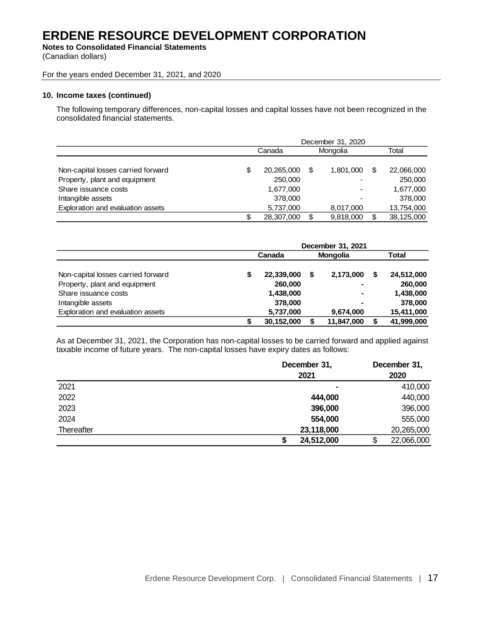**Notes to Consolidated Financial Statements**

(Canadian dollars)

For the years ended December 31, 2021, and 2020

## **10. Income taxes (continued)**

The following temporary differences, non-capital losses and capital losses have not been recognized in the consolidated financial statements.

|                                    | December 31, 2020 |            |    |                              |    |            |
|------------------------------------|-------------------|------------|----|------------------------------|----|------------|
|                                    | Canada            |            |    | Mongolia                     |    | Total      |
| Non-capital losses carried forward | \$                | 20,265,000 | \$ | 1,801,000                    | \$ | 22,066,000 |
| Property, plant and equipment      |                   | 250,000    |    | $\overline{\phantom{0}}$     |    | 250,000    |
| Share issuance costs               |                   | 1,677,000  |    | $\qquad \qquad \blacksquare$ |    | 1,677,000  |
| Intangible assets                  |                   | 378,000    |    | $\qquad \qquad \blacksquare$ |    | 378,000    |
| Exploration and evaluation assets  |                   | 5,737,000  |    | 8,017,000                    |    | 13,754,000 |
|                                    | S                 | 28,307,000 |    | 9,818,000                    | \$ | 38,125,000 |

|                                    | December 31, 2021 |            |   |                 |   |            |
|------------------------------------|-------------------|------------|---|-----------------|---|------------|
|                                    | Canada            |            |   | <b>Mongolia</b> |   | Total      |
| Non-capital losses carried forward | S                 | 22,339,000 | S | 2,173,000       | S | 24,512,000 |
| Property, plant and equipment      |                   | 260,000    |   | -               |   | 260,000    |
| Share issuance costs               |                   | 1,438,000  |   | ۰               |   | 1,438,000  |
| Intangible assets                  |                   | 378,000    |   | ۰               |   | 378,000    |
| Exploration and evaluation assets  |                   | 5,737,000  |   | 9,674,000       |   | 15,411,000 |
|                                    |                   | 30,152,000 |   | 11,847,000      | S | 41,999,000 |

As at December 31, 2021, the Corporation has non-capital losses to be carried forward and applied against taxable income of future years. The non-capital losses have expiry dates as follows:

|            | December 31, | December 31, |
|------------|--------------|--------------|
|            | 2021         | 2020         |
| 2021       | ۰            | 410,000      |
| 2022       | 444,000      | 440,000      |
| 2023       | 396,000      | 396,000      |
| 2024       | 554,000      | 555,000      |
| Thereafter | 23,118,000   | 20,265,000   |
|            | 24,512,000   | 22,066,000   |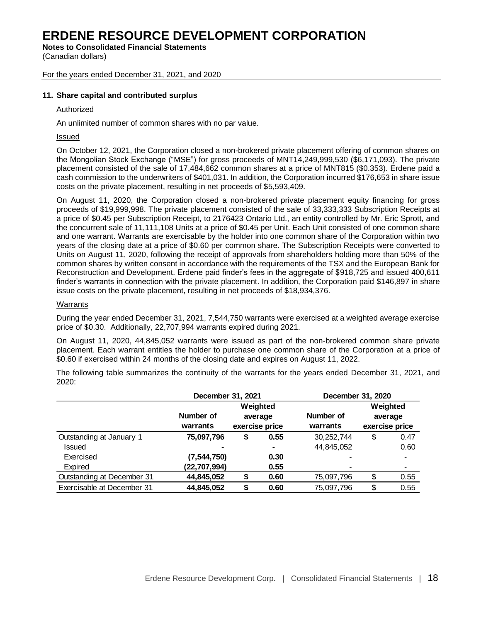**Notes to Consolidated Financial Statements**

(Canadian dollars)

For the years ended December 31, 2021, and 2020

### **11. Share capital and contributed surplus**

#### Authorized

An unlimited number of common shares with no par value.

#### Issued

On October 12, 2021, the Corporation closed a non-brokered private placement offering of common shares on the Mongolian Stock Exchange ("MSE") for gross proceeds of MNT14,249,999,530 (\$6,171,093). The private placement consisted of the sale of 17,484,662 common shares at a price of MNT815 (\$0.353). Erdene paid a cash commission to the underwriters of \$401,031. In addition, the Corporation incurred \$176,653 in share issue costs on the private placement, resulting in net proceeds of \$5,593,409.

On August 11, 2020, the Corporation closed a non-brokered private placement equity financing for gross proceeds of \$19,999,998. The private placement consisted of the sale of 33,333,333 Subscription Receipts at a price of \$0.45 per Subscription Receipt, to 2176423 Ontario Ltd., an entity controlled by Mr. Eric Sprott, and the concurrent sale of 11,111,108 Units at a price of \$0.45 per Unit. Each Unit consisted of one common share and one warrant. Warrants are exercisable by the holder into one common share of the Corporation within two years of the closing date at a price of \$0.60 per common share. The Subscription Receipts were converted to Units on August 11, 2020, following the receipt of approvals from shareholders holding more than 50% of the common shares by written consent in accordance with the requirements of the TSX and the European Bank for Reconstruction and Development. Erdene paid finder's fees in the aggregate of \$918,725 and issued 400,611 finder's warrants in connection with the private placement. In addition, the Corporation paid \$146,897 in share issue costs on the private placement, resulting in net proceeds of \$18,934,376.

#### **Warrants**

During the year ended December 31, 2021, 7,544,750 warrants were exercised at a weighted average exercise price of \$0.30. Additionally, 22,707,994 warrants expired during 2021.

On August 11, 2020, 44,845,052 warrants were issued as part of the non-brokered common share private placement. Each warrant entitles the holder to purchase one common share of the Corporation at a price of \$0.60 if exercised within 24 months of the closing date and expires on August 11, 2022.

The following table summarizes the continuity of the warrants for the years ended December 31, 2021, and 2020:

|                            | December 31, 2021 |                |                | December 31, 2020 |            |          |                |
|----------------------------|-------------------|----------------|----------------|-------------------|------------|----------|----------------|
|                            |                   |                | Weighted       |                   | Weighted   |          |                |
|                            | Number of         |                | average        | Number of         | average    |          |                |
|                            | warrants          | exercise price |                |                   |            | warrants | exercise price |
| Outstanding at January 1   | 75,097,796        | S              | 0.55           | 30,252,744        | \$<br>0.47 |          |                |
| <b>Issued</b>              | ۰                 |                | $\blacksquare$ | 44,845,052        | 0.60       |          |                |
| Exercised                  | (7, 544, 750)     |                | 0.30           |                   |            |          |                |
| Expired                    | (22,707,994)      |                | 0.55           | ۰                 |            |          |                |
| Outstanding at December 31 | 44,845,052        |                | 0.60           | 75,097,796        | \$<br>0.55 |          |                |
| Exercisable at December 31 | 44,845,052        |                | 0.60           | 75,097,796        | \$<br>0.55 |          |                |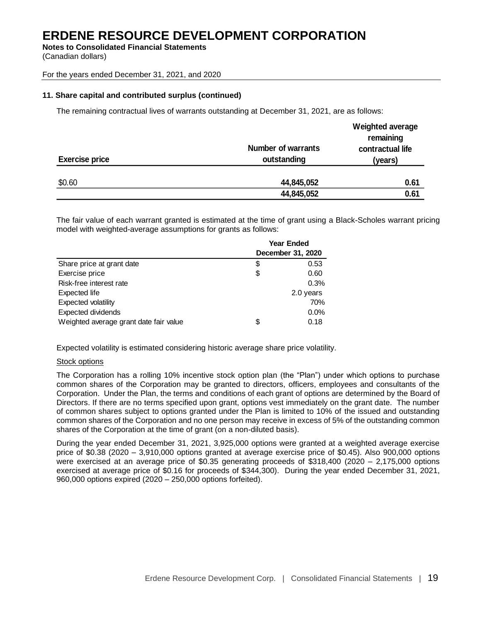**Notes to Consolidated Financial Statements**

(Canadian dollars)

For the years ended December 31, 2021, and 2020

## **11. Share capital and contributed surplus (continued)**

The remaining contractual lives of warrants outstanding at December 31, 2021, are as follows:

| <b>Exercise price</b> | <b>Number of warrants</b><br>outstanding | Weighted average<br>remaining<br>contractual life<br>(years) |
|-----------------------|------------------------------------------|--------------------------------------------------------------|
| \$0.60                | 44,845,052                               | 0.61                                                         |
|                       | 44,845,052                               | 0.61                                                         |

The fair value of each warrant granted is estimated at the time of grant using a Black-Scholes warrant pricing model with weighted-average assumptions for grants as follows:

|                                        | <b>Year Ended</b> |         |  |
|----------------------------------------|-------------------|---------|--|
|                                        | December 31, 2020 |         |  |
| Share price at grant date              | \$                | 0.53    |  |
| Exercise price                         | \$                | 0.60    |  |
| Risk-free interest rate                |                   | 0.3%    |  |
| Expected life                          | 2.0 years         |         |  |
| Expected volatility                    |                   | 70%     |  |
| Expected dividends                     |                   | $0.0\%$ |  |
| Weighted average grant date fair value | S                 | 0.18    |  |

Expected volatility is estimated considering historic average share price volatility.

### Stock options

The Corporation has a rolling 10% incentive stock option plan (the "Plan") under which options to purchase common shares of the Corporation may be granted to directors, officers, employees and consultants of the Corporation. Under the Plan, the terms and conditions of each grant of options are determined by the Board of Directors. If there are no terms specified upon grant, options vest immediately on the grant date. The number of common shares subject to options granted under the Plan is limited to 10% of the issued and outstanding common shares of the Corporation and no one person may receive in excess of 5% of the outstanding common shares of the Corporation at the time of grant (on a non-diluted basis).

During the year ended December 31, 2021, 3,925,000 options were granted at a weighted average exercise price of \$0.38 (2020 – 3,910,000 options granted at average exercise price of \$0.45). Also 900,000 options were exercised at an average price of \$0.35 generating proceeds of \$318,400 (2020 – 2,175,000 options exercised at average price of \$0.16 for proceeds of \$344,300). During the year ended December 31, 2021, 960,000 options expired (2020 – 250,000 options forfeited).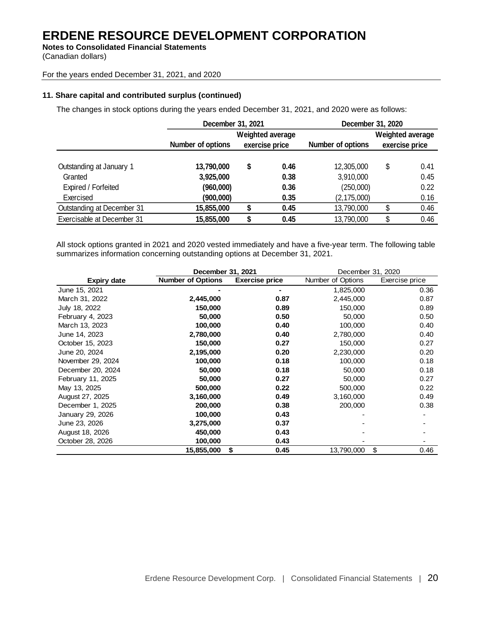**Notes to Consolidated Financial Statements**

(Canadian dollars)

For the years ended December 31, 2021, and 2020

## **11. Share capital and contributed surplus (continued)**

The changes in stock options during the years ended December 31, 2021, and 2020 were as follows:

|                                  | December 31, 2021                                       |    |              | December 31, 2020          |    |                                    |  |
|----------------------------------|---------------------------------------------------------|----|--------------|----------------------------|----|------------------------------------|--|
|                                  | Weighted average<br>Number of options<br>exercise price |    |              | Number of options          |    | Weighted average<br>exercise price |  |
| Outstanding at January 1         | 13,790,000                                              | \$ | 0.46         | 12,305,000                 | \$ | 0.41                               |  |
| Granted                          | 3,925,000                                               |    | 0.38         | 3,910,000                  |    | 0.45                               |  |
| Expired / Forfeited<br>Exercised | (960,000)<br>(900, 000)                                 |    | 0.36<br>0.35 | (250,000)<br>(2, 175, 000) |    | 0.22<br>0.16                       |  |
| Outstanding at December 31       | 15,855,000                                              |    | 0.45         | 13,790,000                 | \$ | 0.46                               |  |
| Exercisable at December 31       | 15,855,000                                              | S  | 0.45         | 13,790,000                 | \$ | 0.46                               |  |

All stock options granted in 2021 and 2020 vested immediately and have a five-year term. The following table summarizes information concerning outstanding options at December 31, 2021.

|                    | December 31, 2021        |                | December 31, 2020 |                |
|--------------------|--------------------------|----------------|-------------------|----------------|
| <b>Expiry date</b> | <b>Number of Options</b> | Exercise price | Number of Options | Exercise price |
| June 15, 2021      |                          |                | 1,825,000         | 0.36           |
| March 31, 2022     | 2,445,000                | 0.87           | 2,445,000         | 0.87           |
| July 18, 2022      | 150,000                  | 0.89           | 150,000           | 0.89           |
| February 4, 2023   | 50,000                   | 0.50           | 50,000            | 0.50           |
| March 13, 2023     | 100,000                  | 0.40           | 100,000           | 0.40           |
| June 14, 2023      | 2,780,000                | 0.40           | 2,780,000         | 0.40           |
| October 15, 2023   | 150,000                  | 0.27           | 150,000           | 0.27           |
| June 20, 2024      | 2,195,000                | 0.20           | 2,230,000         | 0.20           |
| November 29, 2024  | 100,000                  | 0.18           | 100,000           | 0.18           |
| December 20, 2024  | 50,000                   | 0.18           | 50,000            | 0.18           |
| February 11, 2025  | 50,000                   | 0.27           | 50,000            | 0.27           |
| May 13, 2025       | 500,000                  | 0.22           | 500,000           | 0.22           |
| August 27, 2025    | 3,160,000                | 0.49           | 3,160,000         | 0.49           |
| December 1, 2025   | 200,000                  | 0.38           | 200,000           | 0.38           |
| January 29, 2026   | 100,000                  | 0.43           |                   |                |
| June 23, 2026      | 3,275,000                | 0.37           |                   |                |
| August 18, 2026    | 450,000                  | 0.43           |                   |                |
| October 28, 2026   | 100,000                  | 0.43           |                   |                |
|                    | 15,855,000               | \$<br>0.45     | 13,790,000        | \$<br>0.46     |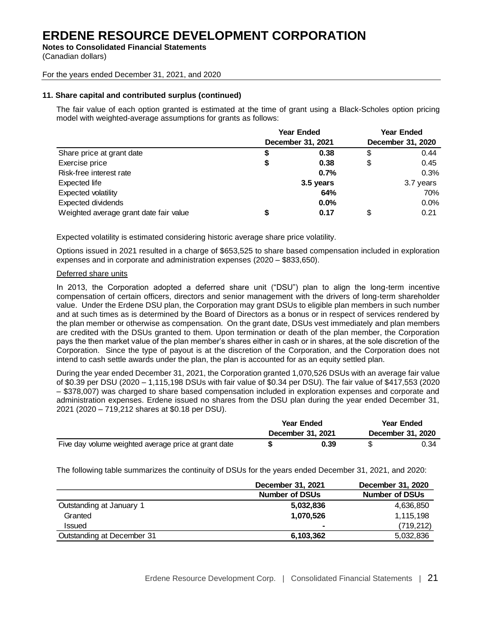**Notes to Consolidated Financial Statements**

(Canadian dollars)

#### For the years ended December 31, 2021, and 2020

### **11. Share capital and contributed surplus (continued)**

The fair value of each option granted is estimated at the time of grant using a Black-Scholes option pricing model with weighted-average assumptions for grants as follows:

|                                        |                   | <b>Year Ended</b> | <b>Year Ended</b> |           |
|----------------------------------------|-------------------|-------------------|-------------------|-----------|
|                                        | December 31, 2021 |                   | December 31, 2020 |           |
| Share price at grant date              | S                 | 0.38              | \$                | 0.44      |
| Exercise price                         | \$                | 0.38              | \$                | 0.45      |
| Risk-free interest rate                |                   | 0.7%              |                   | 0.3%      |
| Expected life                          |                   | 3.5 years         |                   | 3.7 years |
| Expected volatility                    |                   | 64%               |                   | 70%       |
| <b>Expected dividends</b>              |                   | $0.0\%$           |                   | $0.0\%$   |
| Weighted average grant date fair value | S                 | 0.17              | S                 | 0.21      |

Expected volatility is estimated considering historic average share price volatility.

Options issued in 2021 resulted in a charge of \$653,525 to share based compensation included in exploration expenses and in corporate and administration expenses (2020 – \$833,650).

### Deferred share units

In 2013, the Corporation adopted a deferred share unit ("DSU") plan to align the long-term incentive compensation of certain officers, directors and senior management with the drivers of long-term shareholder value. Under the Erdene DSU plan, the Corporation may grant DSUs to eligible plan members in such number and at such times as is determined by the Board of Directors as a bonus or in respect of services rendered by the plan member or otherwise as compensation. On the grant date, DSUs vest immediately and plan members are credited with the DSUs granted to them. Upon termination or death of the plan member, the Corporation pays the then market value of the plan member's shares either in cash or in shares, at the sole discretion of the Corporation. Since the type of payout is at the discretion of the Corporation, and the Corporation does not intend to cash settle awards under the plan, the plan is accounted for as an equity settled plan.

During the year ended December 31, 2021, the Corporation granted 1,070,526 DSUs with an average fair value of \$0.39 per DSU (2020 – 1,115,198 DSUs with fair value of \$0.34 per DSU). The fair value of \$417,553 (2020 – \$378,007) was charged to share based compensation included in exploration expenses and corporate and administration expenses. Erdene issued no shares from the DSU plan during the year ended December 31, 2021 (2020 – 719,212 shares at \$0.18 per DSU).

|                                                      | <b>Year Ended</b> |                   | <b>Year Ended</b> |
|------------------------------------------------------|-------------------|-------------------|-------------------|
|                                                      |                   | December 31, 2021 | December 31, 2020 |
| Five day volume weighted average price at grant date |                   | 0.39              | 0.34              |

The following table summarizes the continuity of DSUs for the years ended December 31, 2021, and 2020:

|                            | December 31, 2021     | December 31, 2020     |
|----------------------------|-----------------------|-----------------------|
|                            | <b>Number of DSUs</b> | <b>Number of DSUs</b> |
| Outstanding at January 1   | 5,032,836             | 4,636,850             |
| Granted                    | 1,070,526             | 1,115,198             |
| <b>Issued</b>              | $\blacksquare$        | (719, 212)            |
| Outstanding at December 31 | 6,103,362             | 5,032,836             |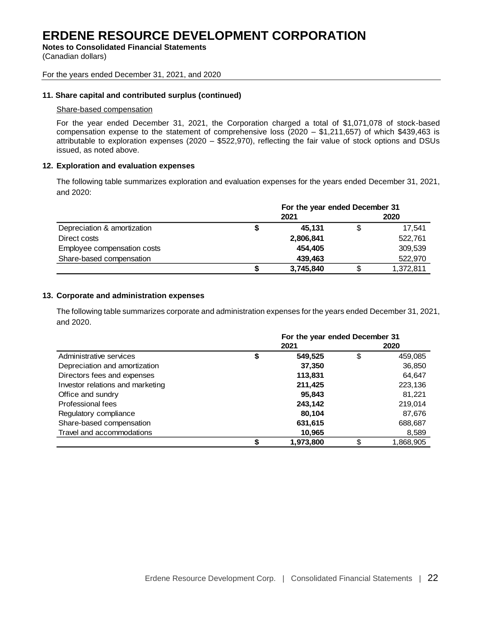**Notes to Consolidated Financial Statements**

(Canadian dollars)

For the years ended December 31, 2021, and 2020

## **11. Share capital and contributed surplus (continued)**

#### Share-based compensation

For the year ended December 31, 2021, the Corporation charged a total of \$1,071,078 of stock-based compensation expense to the statement of comprehensive loss  $(2020 - $1,211,657)$  of which \$439,463 is attributable to exploration expenses (2020 – \$522,970), reflecting the fair value of stock options and DSUs issued, as noted above.

### **12. Exploration and evaluation expenses**

The following table summarizes exploration and evaluation expenses for the years ended December 31, 2021, and 2020:

|                             | For the year ended December 31 |           |  |           |
|-----------------------------|--------------------------------|-----------|--|-----------|
|                             |                                | 2021      |  | 2020      |
| Depreciation & amortization | Ъ                              | 45.131    |  | 17.541    |
| Direct costs                |                                | 2,806,841 |  | 522,761   |
| Employee compensation costs |                                | 454,405   |  | 309,539   |
| Share-based compensation    |                                | 439,463   |  | 522,970   |
|                             |                                | 3,745,840 |  | 1,372,811 |

## **13. Corporate and administration expenses**

The following table summarizes corporate and administration expenses for the years ended December 31, 2021, and 2020.

|                                  | For the year ended December 31 |           |    |           |
|----------------------------------|--------------------------------|-----------|----|-----------|
|                                  |                                | 2021      |    | 2020      |
| Administrative services          | \$                             | 549,525   | \$ | 459,085   |
| Depreciation and amortization    |                                | 37,350    |    | 36,850    |
| Directors fees and expenses      |                                | 113,831   |    | 64,647    |
| Investor relations and marketing |                                | 211,425   |    | 223,136   |
| Office and sundry                |                                | 95,843    |    | 81,221    |
| Professional fees                |                                | 243,142   |    | 219,014   |
| Regulatory compliance            |                                | 80.104    |    | 87,676    |
| Share-based compensation         |                                | 631,615   |    | 688,687   |
| Travel and accommodations        |                                | 10,965    |    | 8,589     |
|                                  |                                | 1,973,800 | \$ | 1,868,905 |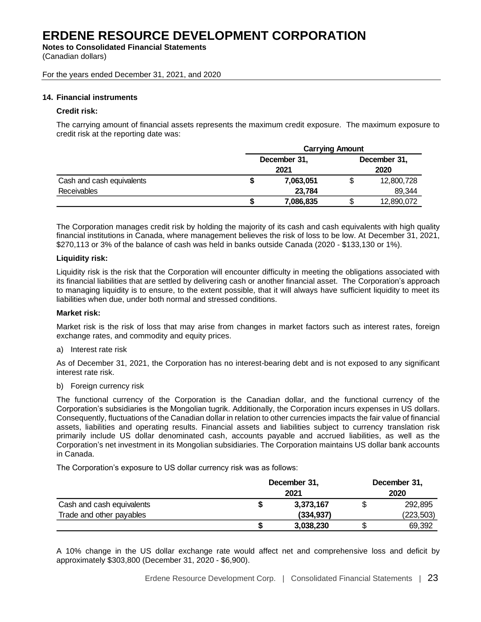**Notes to Consolidated Financial Statements**

(Canadian dollars)

For the years ended December 31, 2021, and 2020

### **14. Financial instruments**

#### **Credit risk:**

The carrying amount of financial assets represents the maximum credit exposure. The maximum exposure to credit risk at the reporting date was:

|                           | <b>Carrying Amount</b> |           |                      |            |
|---------------------------|------------------------|-----------|----------------------|------------|
|                           | December 31,<br>2021   |           | December 31,<br>2020 |            |
| Cash and cash equivalents |                        | 7,063,051 | \$                   | 12,800,728 |
| <b>Receivables</b>        |                        | 23,784    |                      | 89,344     |
|                           |                        | 7,086,835 | \$                   | 12,890,072 |

The Corporation manages credit risk by holding the majority of its cash and cash equivalents with high quality financial institutions in Canada, where management believes the risk of loss to be low. At December 31, 2021, \$270,113 or 3% of the balance of cash was held in banks outside Canada (2020 - \$133,130 or 1%).

#### **Liquidity risk:**

Liquidity risk is the risk that the Corporation will encounter difficulty in meeting the obligations associated with its financial liabilities that are settled by delivering cash or another financial asset. The Corporation's approach to managing liquidity is to ensure, to the extent possible, that it will always have sufficient liquidity to meet its liabilities when due, under both normal and stressed conditions.

#### **Market risk:**

Market risk is the risk of loss that may arise from changes in market factors such as interest rates, foreign exchange rates, and commodity and equity prices.

a) Interest rate risk

As of December 31, 2021, the Corporation has no interest-bearing debt and is not exposed to any significant interest rate risk.

b) Foreign currency risk

The functional currency of the Corporation is the Canadian dollar, and the functional currency of the Corporation's subsidiaries is the Mongolian tugrik. Additionally, the Corporation incurs expenses in US dollars. Consequently, fluctuations of the Canadian dollar in relation to other currencies impacts the fair value of financial assets, liabilities and operating results. Financial assets and liabilities subject to currency translation risk primarily include US dollar denominated cash, accounts payable and accrued liabilities, as well as the Corporation's net investment in its Mongolian subsidiaries. The Corporation maintains US dollar bank accounts in Canada.

The Corporation's exposure to US dollar currency risk was as follows:

|                           | December 31,<br>2021 |  | December 31,<br>2020 |  |
|---------------------------|----------------------|--|----------------------|--|
| Cash and cash equivalents | 3,373,167            |  | 292,895              |  |
| Trade and other payables  | (334, 937)           |  | (223, 503)           |  |
|                           | 3,038,230            |  | 69,392               |  |

A 10% change in the US dollar exchange rate would affect net and comprehensive loss and deficit by approximately \$303,800 (December 31, 2020 - \$6,900).